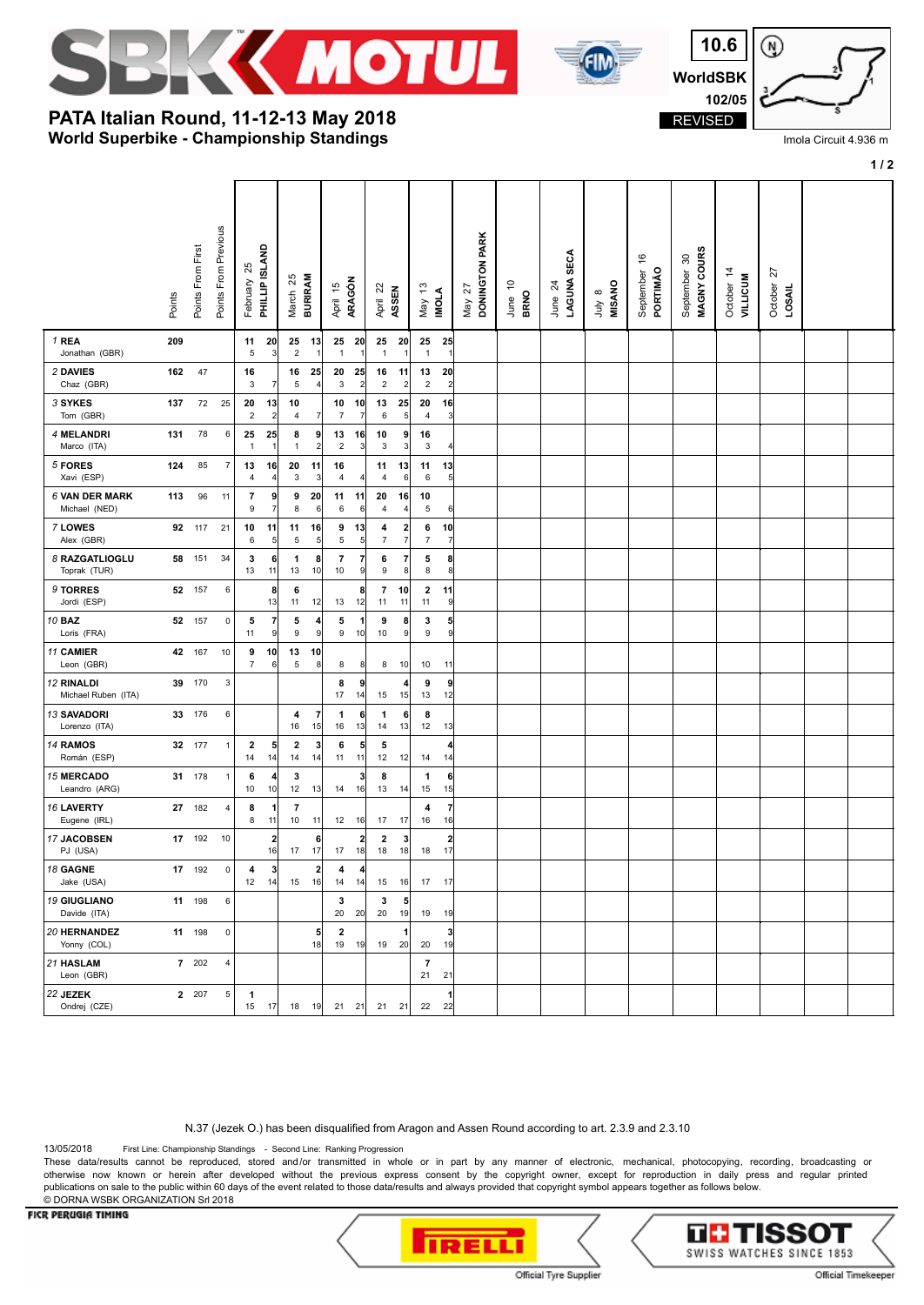





Imola Circuit 4.936 m

## **1 / 2**

**World Superbike - Championship Standings PATA Italian Round, 11-12-13 May 2018**

|                                        | Points | Points From First | Points From Previous    | 25<br>February       | PHILLIP ISLAND                | 25<br><b>BURIRAM</b><br>March |                        | ARAGÓN<br>April 15                           | April 22<br>ASSEN    |                     | 13<br><b>INOLA</b><br>Nay           | DONINGTON PARK<br>27<br>May | $\tilde{c}$<br>June 1<br>BRNO | LAGUNA SECA<br>$\overline{24}$<br>June | <b>MISANO</b><br>$\infty$<br>уInr | \$<br>September<br>PORTIMÃO | MAGNY COURS<br>September 30 | October 14<br><b>AILLICUM</b> | 27<br>October<br><b>LOSAIL</b> |  |
|----------------------------------------|--------|-------------------|-------------------------|----------------------|-------------------------------|-------------------------------|------------------------|----------------------------------------------|----------------------|---------------------|-------------------------------------|-----------------------------|-------------------------------|----------------------------------------|-----------------------------------|-----------------------------|-----------------------------|-------------------------------|--------------------------------|--|
| 1 REA<br>Jonathan (GBR)                | 209    |                   |                         | 11<br>5              | 20<br>3                       | 25<br>$\overline{2}$          | 13 <br>$\mathbf{1}$    | 25<br>- 20<br>$\mathbf{1}$<br>1              | 25<br>$\mathbf{1}$   | 20                  | 25<br>25<br>$\overline{1}$          |                             |                               |                                        |                                   |                             |                             |                               |                                |  |
| 2 DAVIES<br>Chaz (GBR)                 | 162    | 47                |                         | 16<br>3              | 7                             | 16<br>5                       | 25<br>$\vert$          | 20<br>25<br>3<br>$\overline{\mathbf{c}}$     | 16<br>$\sqrt{2}$     | 11<br>2             | 13<br>20<br>$\overline{2}$          | 2                           |                               |                                        |                                   |                             |                             |                               |                                |  |
| 3 SYKES<br>Tom (GBR)                   | 137    | 72                | 25                      | 20<br>$\overline{2}$ | 13<br>$\overline{\mathbf{c}}$ | 10<br>$\overline{4}$          | $\overline{7}$         | 10<br>10<br>$\overline{7}$<br>$\overline{7}$ | 13<br>6              | 25<br>5             | 20<br>$\overline{4}$                | 16<br>f.                    |                               |                                        |                                   |                             |                             |                               |                                |  |
| 4 MELANDRI<br>Marco (ITA)              | 131    | 78                | 6                       | 25<br>$\overline{1}$ | 25<br>1                       | 8<br>$\overline{1}$           | 9<br>$\overline{2}$    | 13<br>16<br>$\overline{2}$<br>3              | 10<br>3              | 9<br>3              | 16<br>3                             |                             |                               |                                        |                                   |                             |                             |                               |                                |  |
| 5 FORES<br>Xavi (ESP)                  | 124    | 85                | 7                       | 13<br>4              | 16<br>4                       | 20<br>3                       | 11<br>$\mathbf{3}$     | 16<br>4<br>4                                 | 11<br>$\overline{4}$ | 13<br>6             | 11<br>13<br>6                       | 5                           |                               |                                        |                                   |                             |                             |                               |                                |  |
| <b>6 VAN DER MARK</b><br>Michael (NED) | 113    | 96                | 11                      | 7<br>9               | 9<br>$\overline{7}$           | 9<br>8                        | 20<br>6                | 11<br>11<br>6<br>6                           | 20<br>$\overline{4}$ | 16<br>4             | 10<br>5                             | 6                           |                               |                                        |                                   |                             |                             |                               |                                |  |
| 7 LOWES<br>Alex (GBR)                  | 92     | 117               | 21                      | 10<br>6              | 11<br>5                       | 11<br>5                       | 16<br>$5\overline{)}$  | 9<br>13<br>5<br>5                            | 4<br>$\overline{7}$  | 2<br>$\overline{7}$ | 6<br>10<br>$\overline{7}$           | 7                           |                               |                                        |                                   |                             |                             |                               |                                |  |
| 8 RAZGATLIOGLU<br>Toprak (TUR)         | 58     | 151               | 34                      | 3<br>13              | 6<br>11                       | 1<br>13                       | 8<br>10                | 7<br>7<br>$10$<br>9                          | 6<br>9               | 7<br>8              | 5<br>8                              | 8<br>8                      |                               |                                        |                                   |                             |                             |                               |                                |  |
| 9 TORRES<br>Jordi (ESP)                |        | 52 157            | $\,6\,$                 |                      | 8<br>13                       | 6<br>11                       | 12                     | 8<br>13<br>12                                | $\overline{7}$<br>11 | 10<br>11            | $\overline{\mathbf{2}}$<br>11<br>11 | c                           |                               |                                        |                                   |                             |                             |                               |                                |  |
| 10 BAZ<br>Loris (FRA)                  |        | 52 157            | $\pmb{0}$               | 5<br>11              | $\overline{\phantom{a}}$<br>9 | 5<br>$\boldsymbol{9}$         | 4<br>$\overline{9}$    | 5<br>$\mathbf{1}$<br>9<br>10                 | 9<br>10              | 8<br>9              | 3<br>9                              | 5<br>ç                      |                               |                                        |                                   |                             |                             |                               |                                |  |
| 11 CAMIER<br>Leon (GBR)                | 42     | 167               | 10                      | 9<br>$\overline{7}$  | 10<br>6                       | 13<br>5                       | 10<br>8                | 8<br>8                                       | 8                    | 10                  | 10<br>11                            |                             |                               |                                        |                                   |                             |                             |                               |                                |  |
| 12 RINALDI<br>Michael Ruben (ITA)      |        | 39 170            | 3                       |                      |                               |                               |                        | 8<br>9<br>17<br>14                           | 15                   | 4<br>15             | 9<br>13                             | 9<br>12                     |                               |                                        |                                   |                             |                             |                               |                                |  |
| 13 SAVADORI<br>Lorenzo (ITA)           | 33     | 176               | 6                       |                      |                               | 4<br>16                       | $\overline{7}$<br>15   | 6<br>1<br>16<br>13                           | $\mathbf{1}$<br>14   | 6<br>13             | 8<br>12                             | 13                          |                               |                                        |                                   |                             |                             |                               |                                |  |
| 14 RAMOS<br>Román (ESP)                | 32     | 177               | $\mathbf{1}$            | 2<br>14              | 5<br>14                       | $\overline{\mathbf{2}}$<br>14 | $\vert$<br> 14         | 6<br>5<br>11<br>11                           | 5<br>12              | 12                  | 14<br>14                            |                             |                               |                                        |                                   |                             |                             |                               |                                |  |
| <b>15 MERCADO</b><br>Leandro (ARG)     |        | 31 178            | $\mathbf{1}$            | 6<br>10              | 4<br>10                       | 3<br>12                       | 13                     | 3<br>14<br>16                                | 8<br>13              | 14                  | 1<br>15                             | 6<br>15                     |                               |                                        |                                   |                             |                             |                               |                                |  |
| 16 LAVERTY<br>Eugene (IRL)             |        | 27 182            | $\overline{4}$          | 8<br>8               | 1<br>11                       | $\overline{\mathbf{r}}$<br>10 | 11                     | 12<br>16                                     | 17                   | 17                  | 4<br>16                             | 7<br>16                     |                               |                                        |                                   |                             |                             |                               |                                |  |
| 17 JACOBSEN<br>PJ (USA)                | 17     | 192               | 10                      |                      | $\overline{\mathbf{2}}$<br>16 | 17                            | 6<br>17                | 2<br>17<br>18                                | 2<br>18              | -3<br>18            | 17<br>18                            | $\overline{2}$              |                               |                                        |                                   |                             |                             |                               |                                |  |
| 18 GAGNE<br>Jake (USA)                 |        | 17 192            | $\pmb{0}$               | 4<br>12              | $\mathbf{3}$<br>14            | 15                            | $\boldsymbol{2}$<br>16 | 4<br>4<br>14<br>14                           | 15                   | 16                  | 17                                  | 17                          |                               |                                        |                                   |                             |                             |                               |                                |  |
| <b>19 GIUGLIANO</b><br>Davide (ITA)    |        | 11 198            | $\,6\,$                 |                      |                               |                               |                        | 3<br>20<br>20                                | $\mathbf 3$<br>20    | 5<br>19             | 19                                  | 19                          |                               |                                        |                                   |                             |                             |                               |                                |  |
| 20 HERNANDEZ<br>Yonny (COL)            |        | 11 198            | $\pmb{0}$               |                      |                               |                               | 5 <sub>l</sub><br>18   | $\mathbf{2}$<br>19 19                        | 19                   | 1<br>20             | 20                                  | 3<br>19                     |                               |                                        |                                   |                             |                             |                               |                                |  |
| 21 HASLAM<br>Leon (GBR)                |        | 7 202             | $\overline{\mathbf{4}}$ |                      |                               |                               |                        |                                              |                      |                     | $\overline{7}$<br>21<br>21          |                             |                               |                                        |                                   |                             |                             |                               |                                |  |
| 22 JEZEK<br>Ondrej (CZE)               |        | 2 207             | $\,$ 5 $\,$             | $\mathbf{1}$<br>15   | 17                            | 18                            | 19                     | 21 21                                        | 21                   | 21                  | 22                                  | 1<br>22                     |                               |                                        |                                   |                             |                             |                               |                                |  |

N.37 (Jezek O.) has been disqualified from Aragon and Assen Round according to art. 2.3.9 and 2.3.10

13/05/2018 First Line: Championship Standings - Second Line: Ranking Progression

These data/results cannot be reproduced, stored and/or transmitted in whole or in part by any manner of electronic, mechanical, photocopying, recording, broadcasting or otherwise now known or herein after developed without the previous express consent by the copyright owner, except for reproduction in daily press and regular printed publications on sale to the public within 60 days of the event related to those data/results and always provided that copyright symbol appears together as follows below. © DORNA WSBK ORGANIZATION Srl 2018

## **FICR PERUGIA TIMING**